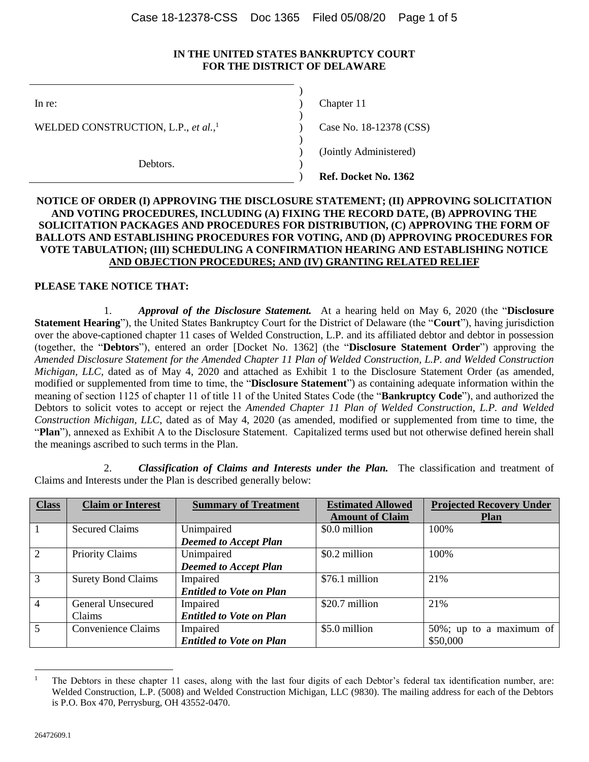#### **IN THE UNITED STATES BANKRUPTCY COURT FOR THE DISTRICT OF DELAWARE**

)

)

) )

In re: (a) Chapter 11 (b) Chapter 11 (c) Chapter 11 (c) Chapter 11 (c) Chapter 11 (c) Chapter 11 (c) Chapter 11 (c) Chapter 11 (c) Chapter 11 (c) Chapter 11 (c) Chapter 11 (c) Chapter 11 (c) Chapter 11 (c) Chapter 11 (c) C

WELDED CONSTRUCTION, L.P., *et al.*, 1

Debtors.

Case No. 18-12378 (CSS) ) (Jointly Administered) ) **Ref. Docket No. 1362**

### **NOTICE OF ORDER (I) APPROVING THE DISCLOSURE STATEMENT; (II) APPROVING SOLICITATION AND VOTING PROCEDURES, INCLUDING (A) FIXING THE RECORD DATE, (B) APPROVING THE SOLICITATION PACKAGES AND PROCEDURES FOR DISTRIBUTION, (C) APPROVING THE FORM OF BALLOTS AND ESTABLISHING PROCEDURES FOR VOTING, AND (D) APPROVING PROCEDURES FOR VOTE TABULATION; (III) SCHEDULING A CONFIRMATION HEARING AND ESTABLISHING NOTICE AND OBJECTION PROCEDURES; AND (IV) GRANTING RELATED RELIEF**

## **PLEASE TAKE NOTICE THAT:**

1. *Approval of the Disclosure Statement.* At a hearing held on May 6, 2020 (the "**Disclosure Statement Hearing**"), the United States Bankruptcy Court for the District of Delaware (the "**Court**"), having jurisdiction over the above-captioned chapter 11 cases of Welded Construction, L.P. and its affiliated debtor and debtor in possession (together, the "**Debtors**"), entered an order [Docket No. 1362] (the "**Disclosure Statement Order**") approving the *Amended Disclosure Statement for the Amended Chapter 11 Plan of Welded Construction, L.P. and Welded Construction Michigan, LLC*, dated as of May 4, 2020 and attached as Exhibit 1 to the Disclosure Statement Order (as amended, modified or supplemented from time to time, the "**Disclosure Statement**") as containing adequate information within the meaning of section 1125 of chapter 11 of title 11 of the United States Code (the "**Bankruptcy Code**"), and authorized the Debtors to solicit votes to accept or reject the *Amended Chapter 11 Plan of Welded Construction, L.P. and Welded Construction Michigan, LLC*, dated as of May 4, 2020 (as amended, modified or supplemented from time to time, the "**Plan**"), annexed as Exhibit A to the Disclosure Statement. Capitalized terms used but not otherwise defined herein shall the meanings ascribed to such terms in the Plan.

2. *Classification of Claims and Interests under the Plan.* The classification and treatment of Claims and Interests under the Plan is described generally below:

| <b>Class</b>    | <b>Claim or Interest</b>  | <b>Summary of Treatment</b>     | <b>Estimated Allowed</b><br><b>Amount of Claim</b> | <b>Projected Recovery Under</b><br><b>Plan</b> |
|-----------------|---------------------------|---------------------------------|----------------------------------------------------|------------------------------------------------|
|                 | <b>Secured Claims</b>     | Unimpaired                      | \$0.0 million                                      | 100%                                           |
|                 |                           | <b>Deemed to Accept Plan</b>    |                                                    |                                                |
| 2               | Priority Claims           | Unimpaired                      | \$0.2 million                                      | 100%                                           |
|                 |                           | <b>Deemed to Accept Plan</b>    |                                                    |                                                |
| $\overline{3}$  | <b>Surety Bond Claims</b> | Impaired                        | \$76.1 million                                     | 21%                                            |
|                 |                           | <b>Entitled to Vote on Plan</b> |                                                    |                                                |
| $\overline{4}$  | General Unsecured         | Impaired                        | \$20.7 million                                     | 21%                                            |
|                 | Claims                    | <b>Entitled to Vote on Plan</b> |                                                    |                                                |
| $5\overline{)}$ | Convenience Claims        | Impaired                        | \$5.0 million                                      | 50%; up to a maximum of                        |
|                 |                           | <b>Entitled to Vote on Plan</b> |                                                    | \$50,000                                       |

<sup>1</sup> The Debtors in these chapter 11 cases, along with the last four digits of each Debtor's federal tax identification number, are: Welded Construction, L.P. (5008) and Welded Construction Michigan, LLC (9830). The mailing address for each of the Debtors is P.O. Box 470, Perrysburg, OH 43552-0470.

 $\overline{a}$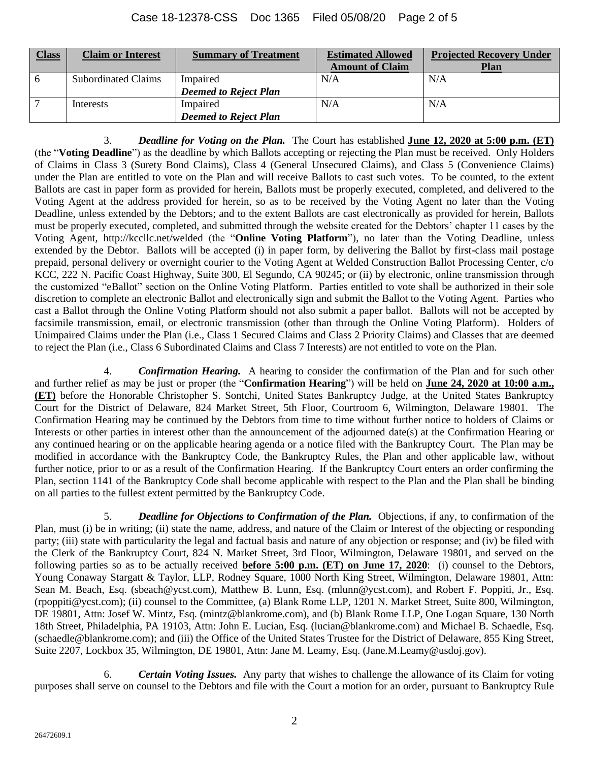| <b>Class</b> | <b>Claim or Interest</b>   | <b>Summary of Treatment</b>  | <b>Estimated Allowed</b> | <b>Projected Recovery Under</b> |
|--------------|----------------------------|------------------------------|--------------------------|---------------------------------|
|              |                            |                              | <b>Amount of Claim</b>   | <b>Plan</b>                     |
| -6           | <b>Subordinated Claims</b> | Impaired                     | N/A                      | N/A                             |
|              |                            | <b>Deemed to Reject Plan</b> |                          |                                 |
|              | Interests                  | Impaired                     | N/A                      | N/A                             |
|              |                            | <b>Deemed to Reject Plan</b> |                          |                                 |

3. *Deadline for Voting on the Plan.* The Court has established **June 12, 2020 at 5:00 p.m. (ET)** (the "**Voting Deadline**") as the deadline by which Ballots accepting or rejecting the Plan must be received. Only Holders of Claims in Class 3 (Surety Bond Claims), Class 4 (General Unsecured Claims), and Class 5 (Convenience Claims) under the Plan are entitled to vote on the Plan and will receive Ballots to cast such votes. To be counted, to the extent Ballots are cast in paper form as provided for herein, Ballots must be properly executed, completed, and delivered to the Voting Agent at the address provided for herein, so as to be received by the Voting Agent no later than the Voting Deadline, unless extended by the Debtors; and to the extent Ballots are cast electronically as provided for herein, Ballots must be properly executed, completed, and submitted through the website created for the Debtors' chapter 11 cases by the Voting Agent, http://kccllc.net/welded (the "**Online Voting Platform**"), no later than the Voting Deadline, unless extended by the Debtor. Ballots will be accepted (i) in paper form, by delivering the Ballot by first-class mail postage prepaid, personal delivery or overnight courier to the Voting Agent at Welded Construction Ballot Processing Center, c/o KCC, 222 N. Pacific Coast Highway, Suite 300, El Segundo, CA 90245; or (ii) by electronic, online transmission through the customized "eBallot" section on the Online Voting Platform. Parties entitled to vote shall be authorized in their sole discretion to complete an electronic Ballot and electronically sign and submit the Ballot to the Voting Agent. Parties who cast a Ballot through the Online Voting Platform should not also submit a paper ballot. Ballots will not be accepted by facsimile transmission, email, or electronic transmission (other than through the Online Voting Platform). Holders of Unimpaired Claims under the Plan (i.e., Class 1 Secured Claims and Class 2 Priority Claims) and Classes that are deemed to reject the Plan (i.e., Class 6 Subordinated Claims and Class 7 Interests) are not entitled to vote on the Plan.

4. *Confirmation Hearing.* A hearing to consider the confirmation of the Plan and for such other and further relief as may be just or proper (the "**Confirmation Hearing**") will be held on **June 24, 2020 at 10:00 a.m., (ET)** before the Honorable Christopher S. Sontchi, United States Bankruptcy Judge, at the United States Bankruptcy Court for the District of Delaware, 824 Market Street, 5th Floor, Courtroom 6, Wilmington, Delaware 19801. The Confirmation Hearing may be continued by the Debtors from time to time without further notice to holders of Claims or Interests or other parties in interest other than the announcement of the adjourned date(s) at the Confirmation Hearing or any continued hearing or on the applicable hearing agenda or a notice filed with the Bankruptcy Court. The Plan may be modified in accordance with the Bankruptcy Code, the Bankruptcy Rules, the Plan and other applicable law, without further notice, prior to or as a result of the Confirmation Hearing. If the Bankruptcy Court enters an order confirming the Plan, section 1141 of the Bankruptcy Code shall become applicable with respect to the Plan and the Plan shall be binding on all parties to the fullest extent permitted by the Bankruptcy Code.

5. *Deadline for Objections to Confirmation of the Plan.* Objections, if any, to confirmation of the Plan, must (i) be in writing; (ii) state the name, address, and nature of the Claim or Interest of the objecting or responding party; (iii) state with particularity the legal and factual basis and nature of any objection or response; and (iv) be filed with the Clerk of the Bankruptcy Court, 824 N. Market Street, 3rd Floor, Wilmington, Delaware 19801, and served on the following parties so as to be actually received **before 5:00 p.m. (ET) on June 17, 2020**: (i) counsel to the Debtors, Young Conaway Stargatt & Taylor, LLP, Rodney Square, 1000 North King Street, Wilmington, Delaware 19801, Attn: Sean M. Beach, Esq. (sbeach@ycst.com), Matthew B. Lunn, Esq. (mlunn@ycst.com), and Robert F. Poppiti, Jr., Esq. (rpoppiti@ycst.com); (ii) counsel to the Committee, (a) Blank Rome LLP, 1201 N. Market Street, Suite 800, Wilmington, DE 19801, Attn: Josef W. Mintz, Esq. (mintz@blankrome.com), and (b) Blank Rome LLP, One Logan Square, 130 North 18th Street, Philadelphia, PA 19103, Attn: John E. Lucian, Esq. (lucian@blankrome.com) and Michael B. Schaedle, Esq. (schaedle@blankrome.com); and (iii) the Office of the United States Trustee for the District of Delaware, 855 King Street, Suite 2207, Lockbox 35, Wilmington, DE 19801, Attn: Jane M. Leamy, Esq. (Jane.M.Leamy@usdoj.gov).

6. *Certain Voting Issues.* Any party that wishes to challenge the allowance of its Claim for voting purposes shall serve on counsel to the Debtors and file with the Court a motion for an order, pursuant to Bankruptcy Rule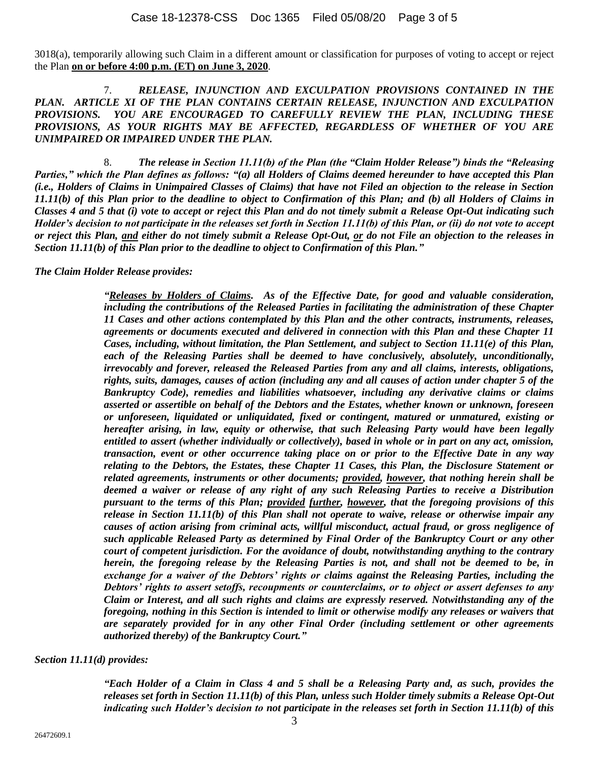3018(a), temporarily allowing such Claim in a different amount or classification for purposes of voting to accept or reject the Plan **on or before 4:00 p.m. (ET) on June 3, 2020**.

7. *RELEASE, INJUNCTION AND EXCULPATION PROVISIONS CONTAINED IN THE PLAN. ARTICLE XI OF THE PLAN CONTAINS CERTAIN RELEASE, INJUNCTION AND EXCULPATION PROVISIONS. YOU ARE ENCOURAGED TO CAREFULLY REVIEW THE PLAN, INCLUDING THESE PROVISIONS, AS YOUR RIGHTS MAY BE AFFECTED, REGARDLESS OF WHETHER OF YOU ARE UNIMPAIRED OR IMPAIRED UNDER THE PLAN.* 

8. *The release in Section 11.11(b) of the Plan (the "Claim Holder Release") binds the "Releasing Parties," which the Plan defines as follows: "(a) all Holders of Claims deemed hereunder to have accepted this Plan (i.e., Holders of Claims in Unimpaired Classes of Claims) that have not Filed an objection to the release in Section 11.11(b) of this Plan prior to the deadline to object to Confirmation of this Plan; and (b) all Holders of Claims in Classes 4 and 5 that (i) vote to accept or reject this Plan and do not timely submit a Release Opt-Out indicating such Holder's decision to not participate in the releases set forth in Section 11.11(b) of this Plan, or (ii) do not vote to accept or reject this Plan, and either do not timely submit a Release Opt-Out, or do not File an objection to the releases in Section 11.11(b) of this Plan prior to the deadline to object to Confirmation of this Plan."*

*The Claim Holder Release provides:*

*"Releases by Holders of Claims. As of the Effective Date, for good and valuable consideration, including the contributions of the Released Parties in facilitating the administration of these Chapter 11 Cases and other actions contemplated by this Plan and the other contracts, instruments, releases, agreements or documents executed and delivered in connection with this Plan and these Chapter 11 Cases, including, without limitation, the Plan Settlement, and subject to Section 11.11(e) of this Plan, each of the Releasing Parties shall be deemed to have conclusively, absolutely, unconditionally, irrevocably and forever, released the Released Parties from any and all claims, interests, obligations, rights, suits, damages, causes of action (including any and all causes of action under chapter 5 of the Bankruptcy Code), remedies and liabilities whatsoever, including any derivative claims or claims asserted or assertible on behalf of the Debtors and the Estates, whether known or unknown, foreseen or unforeseen, liquidated or unliquidated, fixed or contingent, matured or unmatured, existing or hereafter arising, in law, equity or otherwise, that such Releasing Party would have been legally entitled to assert (whether individually or collectively), based in whole or in part on any act, omission, transaction, event or other occurrence taking place on or prior to the Effective Date in any way relating to the Debtors, the Estates, these Chapter 11 Cases, this Plan, the Disclosure Statement or related agreements, instruments or other documents; provided, however, that nothing herein shall be deemed a waiver or release of any right of any such Releasing Parties to receive a Distribution pursuant to the terms of this Plan; provided further, however, that the foregoing provisions of this release in Section 11.11(b) of this Plan shall not operate to waive, release or otherwise impair any causes of action arising from criminal acts, willful misconduct, actual fraud, or gross negligence of such applicable Released Party as determined by Final Order of the Bankruptcy Court or any other court of competent jurisdiction. For the avoidance of doubt, notwithstanding anything to the contrary herein, the foregoing release by the Releasing Parties is not, and shall not be deemed to be, in exchange for a waiver of the Debtors' rights or claims against the Releasing Parties, including the Debtors' rights to assert setoffs, recoupments or counterclaims, or to object or assert defenses to any Claim or Interest, and all such rights and claims are expressly reserved. Notwithstanding any of the foregoing, nothing in this Section is intended to limit or otherwise modify any releases or waivers that are separately provided for in any other Final Order (including settlement or other agreements authorized thereby) of the Bankruptcy Court."* 

# *Section 11.11(d) provides:*

*"Each Holder of a Claim in Class 4 and 5 shall be a Releasing Party and, as such, provides the releases set forth in Section 11.11(b) of this Plan, unless such Holder timely submits a Release Opt-Out indicating such Holder's decision to not participate in the releases set forth in Section 11.11(b) of this*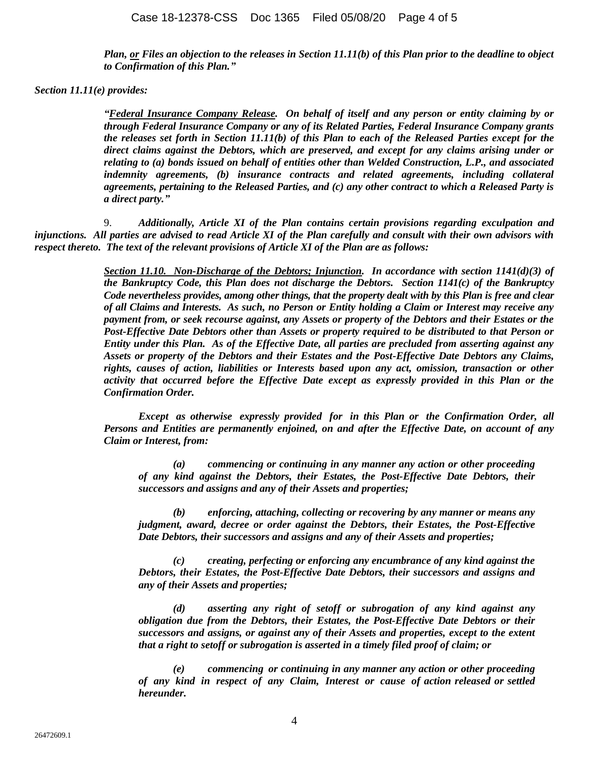*Plan, or Files an objection to the releases in Section 11.11(b) of this Plan prior to the deadline to object to Confirmation of this Plan."*

#### *Section 11.11(e) provides:*

*"Federal Insurance Company Release. On behalf of itself and any person or entity claiming by or through Federal Insurance Company or any of its Related Parties, Federal Insurance Company grants the releases set forth in Section 11.11(b) of this Plan to each of the Released Parties except for the direct claims against the Debtors, which are preserved, and except for any claims arising under or relating to (a) bonds issued on behalf of entities other than Welded Construction, L.P., and associated indemnity agreements, (b) insurance contracts and related agreements, including collateral agreements, pertaining to the Released Parties, and (c) any other contract to which a Released Party is a direct party."*

9. *Additionally, Article XI of the Plan contains certain provisions regarding exculpation and injunctions. All parties are advised to read Article XI of the Plan carefully and consult with their own advisors with respect thereto. The text of the relevant provisions of Article XI of the Plan are as follows:*

> *Section 11.10. Non-Discharge of the Debtors; Injunction. In accordance with section 1141(d)(3) of the Bankruptcy Code, this Plan does not discharge the Debtors. Section 1141(c) of the Bankruptcy Code nevertheless provides, among other things, that the property dealt with by this Plan is free and clear of all Claims and Interests. As such, no Person or Entity holding a Claim or Interest may receive any payment from, or seek recourse against, any Assets or property of the Debtors and their Estates or the Post-Effective Date Debtors other than Assets or property required to be distributed to that Person or Entity under this Plan. As of the Effective Date, all parties are precluded from asserting against any Assets or property of the Debtors and their Estates and the Post-Effective Date Debtors any Claims, rights, causes of action, liabilities or Interests based upon any act, omission, transaction or other activity that occurred before the Effective Date except as expressly provided in this Plan or the Confirmation Order.*

> *Except as otherwise expressly provided for in this Plan or the Confirmation Order, all Persons and Entities are permanently enjoined, on and after the Effective Date, on account of any Claim or Interest, from:*

*(a) commencing or continuing in any manner any action or other proceeding of any kind against the Debtors, their Estates, the Post-Effective Date Debtors, their successors and assigns and any of their Assets and properties;*

*(b) enforcing, attaching, collecting or recovering by any manner or means any judgment, award, decree or order against the Debtors, their Estates, the Post-Effective Date Debtors, their successors and assigns and any of their Assets and properties;*

*(c) creating, perfecting or enforcing any encumbrance of any kind against the Debtors, their Estates, the Post-Effective Date Debtors, their successors and assigns and any of their Assets and properties;*

*(d) asserting any right of setoff or subrogation of any kind against any obligation due from the Debtors, their Estates, the Post-Effective Date Debtors or their successors and assigns, or against any of their Assets and properties, except to the extent that a right to setoff or subrogation is asserted in a timely filed proof of claim; or*

*(e) commencing or continuing in any manner any action or other proceeding of any kind in respect of any Claim, Interest or cause of action released or settled hereunder.*